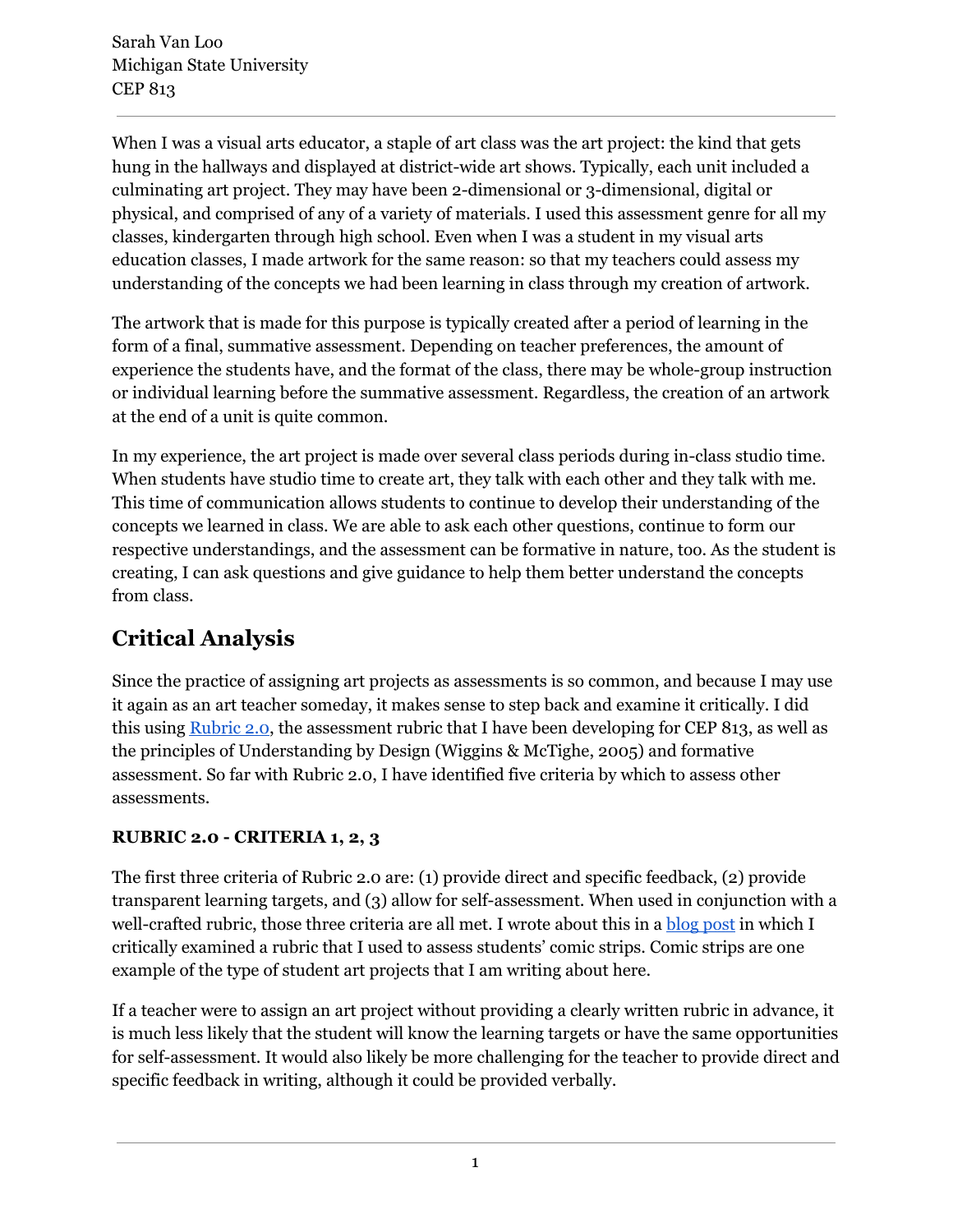When I was a visual arts educator, a staple of art class was the art project: the kind that gets hung in the hallways and displayed at district-wide art shows. Typically, each unit included a culminating art project. They may have been 2-dimensional or 3-dimensional, digital or physical, and comprised of any of a variety of materials. I used this assessment genre for all my classes, kindergarten through high school. Even when I was a student in my visual arts education classes, I made artwork for the same reason: so that my teachers could assess my understanding of the concepts we had been learning in class through my creation of artwork.

The artwork that is made for this purpose is typically created after a period of learning in the form of a final, summative assessment. Depending on teacher preferences, the amount of experience the students have, and the format of the class, there may be whole-group instruction or individual learning before the summative assessment. Regardless, the creation of an artwork at the end of a unit is quite common.

In my experience, the art project is made over several class periods during in-class studio time. When students have studio time to create art, they talk with each other and they talk with me. This time of communication allows students to continue to develop their understanding of the concepts we learned in class. We are able to ask each other questions, continue to form our respective understandings, and the assessment can be formative in nature, too. As the student is creating, I can ask questions and give guidance to help them better understand the concepts from class.

# **Critical Analysis**

Since the practice of assigning art projects as assessments is so common, and because I may use it again as an art teacher someday, it makes sense to step back and examine it critically. I did this using [Rubric](https://docs.google.com/document/d/1-7aDgygNiqYECZvnXQxVBy4xz-L66VnNegq5l95z9kU/edit) 2.0, the assessment rubric that I have been developing for CEP 813, as well as the principles of Understanding by Design (Wiggins & McTighe, 2005) and formative assessment. So far with Rubric 2.0, I have identified five criteria by which to assess other assessments.

## **RUBRIC 2.0 CRITERIA 1, 2, 3**

The first three criteria of Rubric 2.0 are: (1) provide direct and specific feedback, (2) provide transparent learning targets, and (3) allow for self-assessment. When used in conjunction with a well-crafted rubric, those three criteria are all met. I wrote about this in a **[blog](http://www.sarahvanloo.com/assessing-my-own-assessment/) post** in which I critically examined a rubric that I used to assess students' comic strips. Comic strips are one example of the type of student art projects that I am writing about here.

If a teacher were to assign an art project without providing a clearly written rubric in advance, it is much less likely that the student will know the learning targets or have the same opportunities for self-assessment. It would also likely be more challenging for the teacher to provide direct and specific feedback in writing, although it could be provided verbally.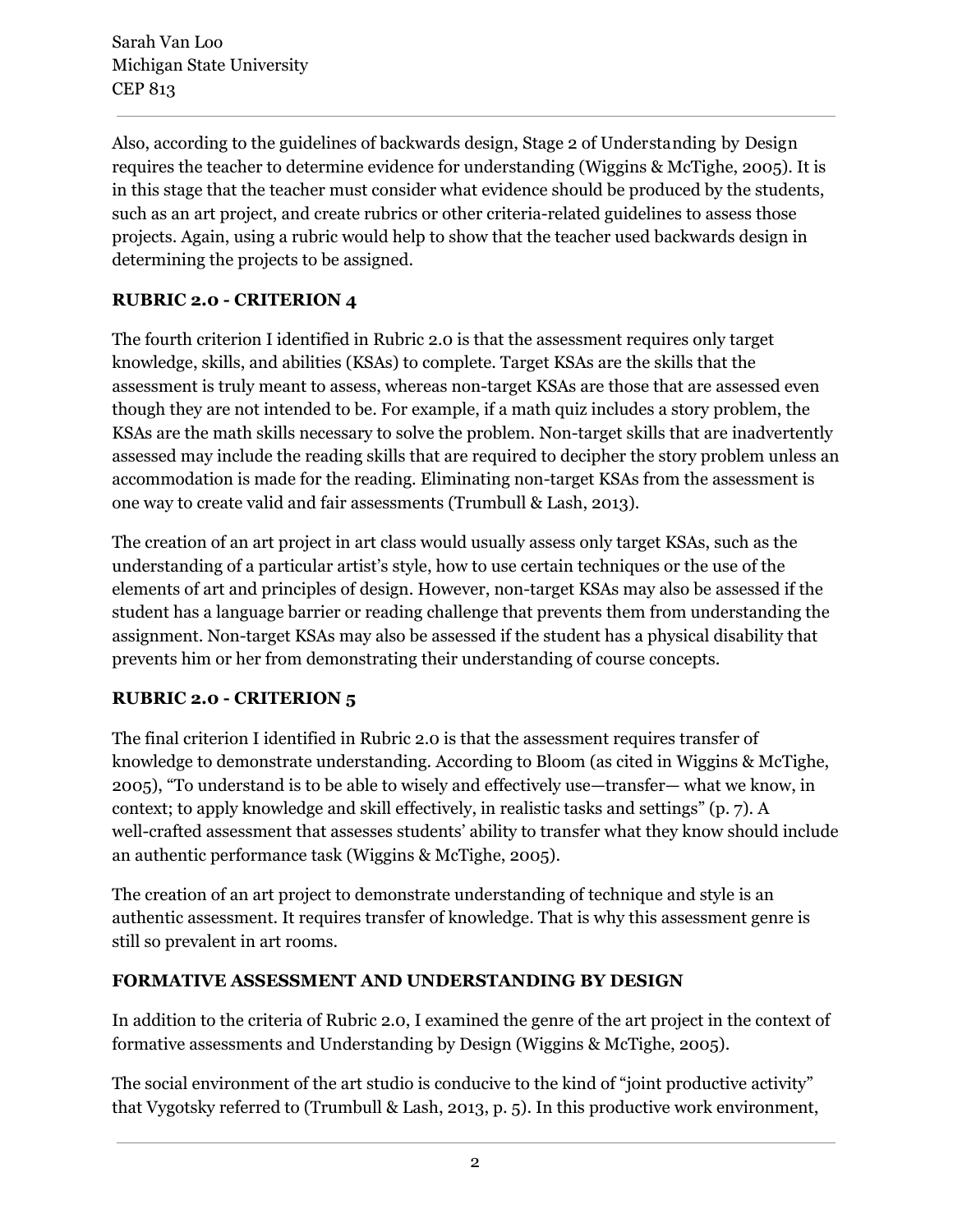Sarah Van Loo Michigan State University CEP 813

Also, according to the guidelines of backwards design, Stage 2 of Understanding by Design requires the teacher to determine evidence for understanding (Wiggins & McTighe, 2005). It is in this stage that the teacher must consider what evidence should be produced by the students, such as an art project, and create rubrics or other criteria-related guidelines to assess those projects. Again, using a rubric would help to show that the teacher used backwards design in determining the projects to be assigned.

### **RUBRIC 2.0 CRITERION 4**

The fourth criterion I identified in Rubric 2.0 is that the assessment requires only target knowledge, skills, and abilities (KSAs) to complete. Target KSAs are the skills that the assessment is truly meant to assess, whereas non-target KSAs are those that are assessed even though they are not intended to be. For example, if a math quiz includes a story problem, the KSAs are the math skills necessary to solve the problem. Non-target skills that are inadvertently assessed may include the reading skills that are required to decipher the story problem unless an accommodation is made for the reading. Eliminating non-target KSAs from the assessment is one way to create valid and fair assessments (Trumbull & Lash, 2013).

The creation of an art project in art class would usually assess only target KSAs, such as the understanding of a particular artist's style, how to use certain techniques or the use of the elements of art and principles of design. However, non-target KSAs may also be assessed if the student has a language barrier or reading challenge that prevents them from understanding the assignment. Non-target KSAs may also be assessed if the student has a physical disability that prevents him or her from demonstrating their understanding of course concepts.

### **RUBRIC 2.0 CRITERION 5**

The final criterion I identified in Rubric 2.0 is that the assessment requires transfer of knowledge to demonstrate understanding. According to Bloom (as cited in Wiggins & McTighe, 2005), "To understand is to be able to wisely and effectively use—transfer— what we know, in context; to apply knowledge and skill effectively, in realistic tasks and settings" (p. 7). A well-crafted assessment that assesses students' ability to transfer what they know should include an authentic performance task (Wiggins & McTighe, 2005).

The creation of an art project to demonstrate understanding of technique and style is an authentic assessment. It requires transfer of knowledge. That is why this assessment genre is still so prevalent in art rooms.

#### **FORMATIVE ASSESSMENT AND UNDERSTANDING BY DESIGN**

In addition to the criteria of Rubric 2.0, I examined the genre of the art project in the context of formative assessments and Understanding by Design (Wiggins & McTighe, 2005).

The social environment of the art studio is conducive to the kind of "joint productive activity" that Vygotsky referred to (Trumbull & Lash, 2013, p. 5). In this productive work environment,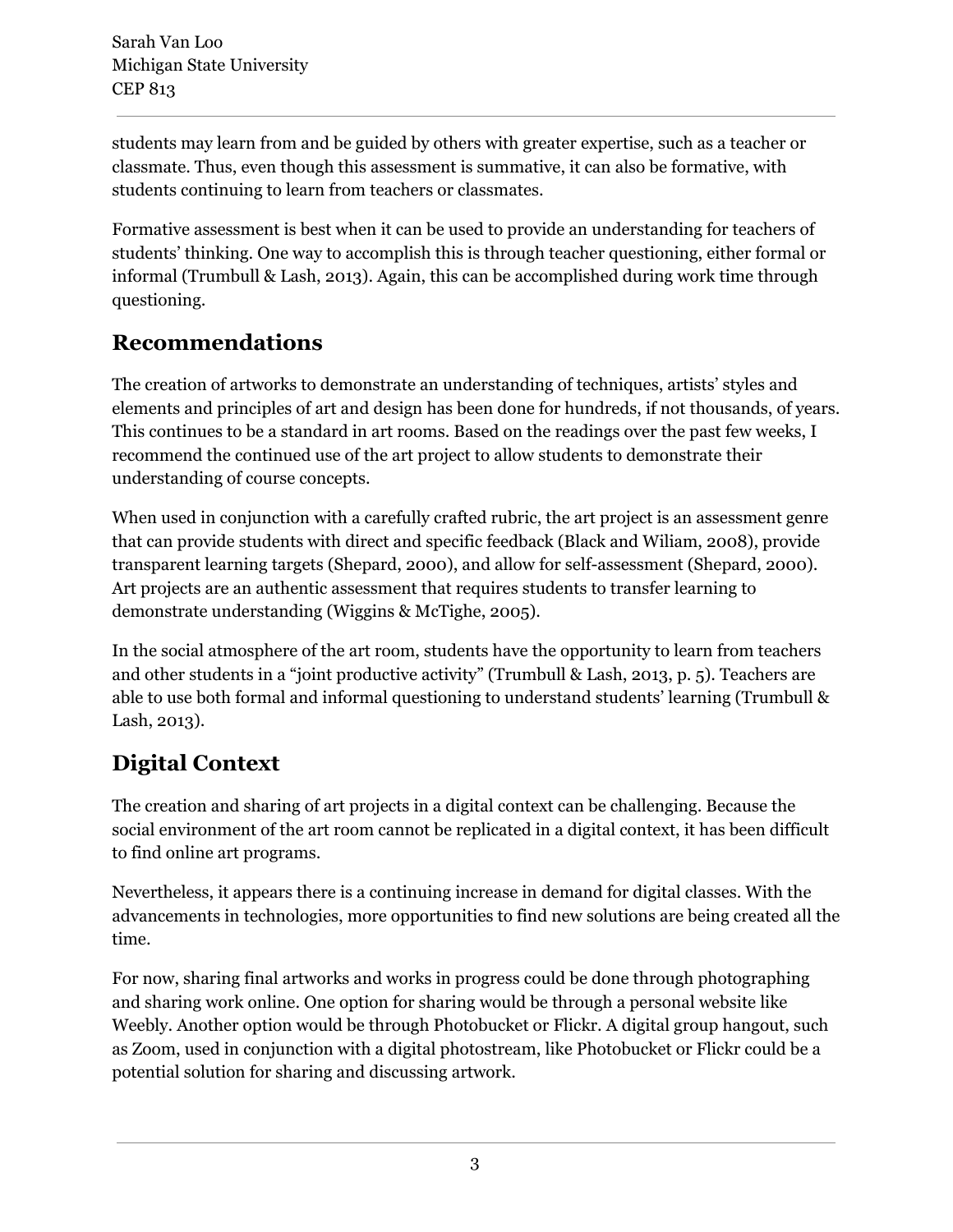students may learn from and be guided by others with greater expertise, such as a teacher or classmate. Thus, even though this assessment is summative, it can also be formative, with students continuing to learn from teachers or classmates.

Formative assessment is best when it can be used to provide an understanding for teachers of students' thinking. One way to accomplish this is through teacher questioning, either formal or informal (Trumbull & Lash, 2013). Again, this can be accomplished during work time through questioning.

# **Recommendations**

The creation of artworks to demonstrate an understanding of techniques, artists' styles and elements and principles of art and design has been done for hundreds, if not thousands, of years. This continues to be a standard in art rooms. Based on the readings over the past few weeks, I recommend the continued use of the art project to allow students to demonstrate their understanding of course concepts.

When used in conjunction with a carefully crafted rubric, the art project is an assessment genre that can provide students with direct and specific feedback (Black and Wiliam, 2008), provide transparent learning targets (Shepard, 2000), and allow for self-assessment (Shepard, 2000). Art projects are an authentic assessment that requires students to transfer learning to demonstrate understanding (Wiggins & McTighe, 2005).

In the social atmosphere of the art room, students have the opportunity to learn from teachers and other students in a "joint productive activity" (Trumbull & Lash, 2013, p. 5). Teachers are able to use both formal and informal questioning to understand students' learning (Trumbull & Lash, 2013).

# **Digital Context**

The creation and sharing of art projects in a digital context can be challenging. Because the social environment of the art room cannot be replicated in a digital context, it has been difficult to find online art programs.

Nevertheless, it appears there is a continuing increase in demand for digital classes. With the advancements in technologies, more opportunities to find new solutions are being created all the time.

For now, sharing final artworks and works in progress could be done through photographing and sharing work online. One option for sharing would be through a personal website like Weebly. Another option would be through Photobucket or Flickr. A digital group hangout, such as Zoom, used in conjunction with a digital photostream, like Photobucket or Flickr could be a potential solution for sharing and discussing artwork.